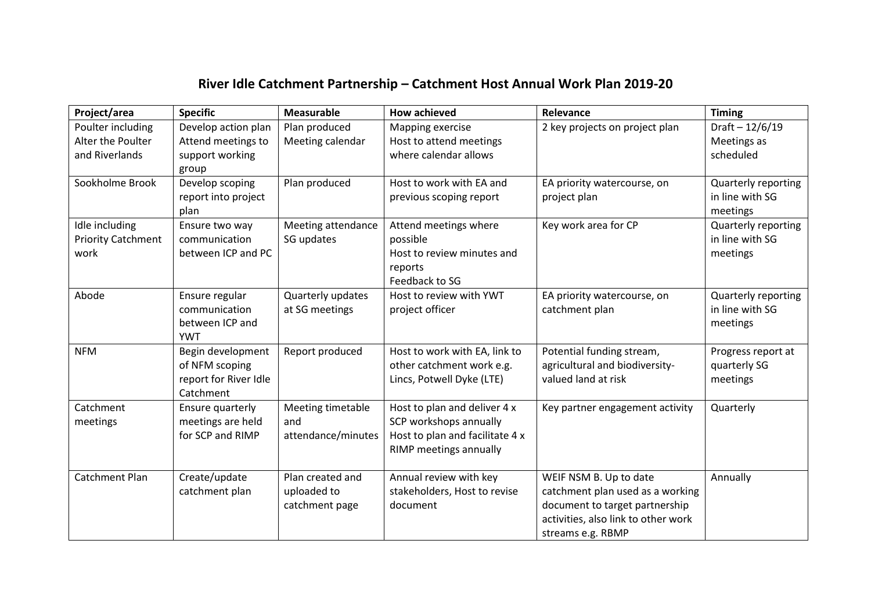## **River Idle Catchment Partnership – Catchment Host Annual Work Plan 2019-20**

| Project/area              | <b>Specific</b>       | <b>Measurable</b>  | <b>How achieved</b>             | Relevance                           | <b>Timing</b>              |
|---------------------------|-----------------------|--------------------|---------------------------------|-------------------------------------|----------------------------|
| Poulter including         | Develop action plan   | Plan produced      | Mapping exercise                | 2 key projects on project plan      | Draft $- 12/6/19$          |
| Alter the Poulter         | Attend meetings to    | Meeting calendar   | Host to attend meetings         |                                     | Meetings as                |
| and Riverlands            | support working       |                    | where calendar allows           |                                     | scheduled                  |
|                           | group                 |                    |                                 |                                     |                            |
| Sookholme Brook           | Develop scoping       | Plan produced      | Host to work with EA and        | EA priority watercourse, on         | <b>Quarterly reporting</b> |
|                           | report into project   |                    | previous scoping report         | project plan                        | in line with SG            |
|                           | plan                  |                    |                                 |                                     | meetings                   |
| Idle including            | Ensure two way        | Meeting attendance | Attend meetings where           | Key work area for CP                | <b>Quarterly reporting</b> |
| <b>Priority Catchment</b> | communication         | SG updates         | possible                        |                                     | in line with SG            |
| work                      | between ICP and PC    |                    | Host to review minutes and      |                                     | meetings                   |
|                           |                       |                    | reports                         |                                     |                            |
|                           |                       |                    | Feedback to SG                  |                                     |                            |
| Abode                     | Ensure regular        | Quarterly updates  | Host to review with YWT         | EA priority watercourse, on         | <b>Quarterly reporting</b> |
|                           | communication         | at SG meetings     | project officer                 | catchment plan                      | in line with SG            |
|                           | between ICP and       |                    |                                 |                                     | meetings                   |
|                           | <b>YWT</b>            |                    |                                 |                                     |                            |
| <b>NFM</b>                | Begin development     | Report produced    | Host to work with EA, link to   | Potential funding stream,           | Progress report at         |
|                           | of NFM scoping        |                    | other catchment work e.g.       | agricultural and biodiversity-      | quarterly SG               |
|                           | report for River Idle |                    | Lincs, Potwell Dyke (LTE)       | valued land at risk                 | meetings                   |
|                           | Catchment             |                    |                                 |                                     |                            |
| Catchment                 | Ensure quarterly      | Meeting timetable  | Host to plan and deliver 4 x    | Key partner engagement activity     | Quarterly                  |
| meetings                  | meetings are held     | and                | SCP workshops annually          |                                     |                            |
|                           | for SCP and RIMP      | attendance/minutes | Host to plan and facilitate 4 x |                                     |                            |
|                           |                       |                    | RIMP meetings annually          |                                     |                            |
| <b>Catchment Plan</b>     | Create/update         | Plan created and   | Annual review with key          | WEIF NSM B. Up to date              | Annually                   |
|                           | catchment plan        | uploaded to        | stakeholders, Host to revise    | catchment plan used as a working    |                            |
|                           |                       | catchment page     | document                        | document to target partnership      |                            |
|                           |                       |                    |                                 | activities, also link to other work |                            |
|                           |                       |                    |                                 | streams e.g. RBMP                   |                            |